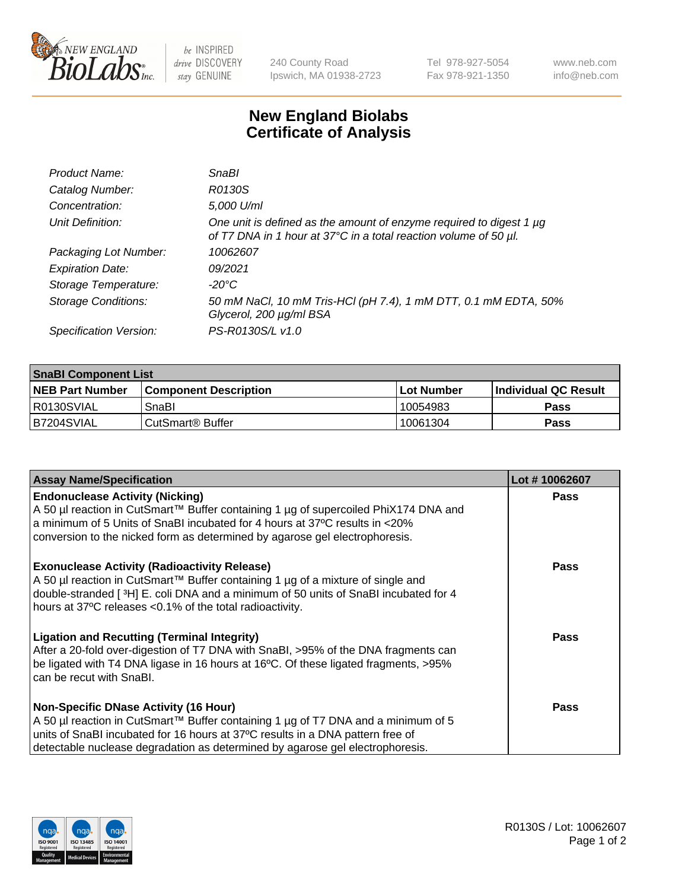

 $be$  INSPIRED drive DISCOVERY stay GENUINE

240 County Road Ipswich, MA 01938-2723 Tel 978-927-5054 Fax 978-921-1350 www.neb.com info@neb.com

## **New England Biolabs Certificate of Analysis**

| Product Name:              | <b>SnaBl</b>                                                                                                                            |
|----------------------------|-----------------------------------------------------------------------------------------------------------------------------------------|
| Catalog Number:            | R0130S                                                                                                                                  |
| Concentration:             | 5,000 U/ml                                                                                                                              |
| Unit Definition:           | One unit is defined as the amount of enzyme required to digest 1 µg<br>of T7 DNA in 1 hour at 37°C in a total reaction volume of 50 µl. |
| Packaging Lot Number:      | 10062607                                                                                                                                |
| <b>Expiration Date:</b>    | 09/2021                                                                                                                                 |
| Storage Temperature:       | -20°C                                                                                                                                   |
| <b>Storage Conditions:</b> | 50 mM NaCl, 10 mM Tris-HCl (pH 7.4), 1 mM DTT, 0.1 mM EDTA, 50%<br>Glycerol, 200 µg/ml BSA                                              |
| Specification Version:     | PS-R0130S/L v1.0                                                                                                                        |

| <b>SnaBI Component List</b> |                              |              |                       |  |
|-----------------------------|------------------------------|--------------|-----------------------|--|
| <b>NEB Part Number</b>      | <b>Component Description</b> | l Lot Number | ∣Individual QC Result |  |
| R0130SVIAL                  | SnaBl                        | 10054983     | Pass                  |  |
| B7204SVIAL                  | l CutSmart® Buffer           | 10061304     | Pass                  |  |

| <b>Assay Name/Specification</b>                                                                                                                                                                                                                                                                                                                                          | Lot #10062607 |
|--------------------------------------------------------------------------------------------------------------------------------------------------------------------------------------------------------------------------------------------------------------------------------------------------------------------------------------------------------------------------|---------------|
| <b>Endonuclease Activity (Nicking)</b><br>A 50 µl reaction in CutSmart™ Buffer containing 1 µg of supercoiled PhiX174 DNA and<br>a minimum of 5 Units of SnaBI incubated for 4 hours at 37°C results in <20%                                                                                                                                                             | Pass          |
| conversion to the nicked form as determined by agarose gel electrophoresis.<br><b>Exonuclease Activity (Radioactivity Release)</b><br>A 50 µl reaction in CutSmart™ Buffer containing 1 µg of a mixture of single and<br>double-stranded [3H] E. coli DNA and a minimum of 50 units of SnaBI incubated for 4<br>hours at 37°C releases <0.1% of the total radioactivity. | Pass          |
| <b>Ligation and Recutting (Terminal Integrity)</b><br>After a 20-fold over-digestion of T7 DNA with SnaBI, >95% of the DNA fragments can<br>be ligated with T4 DNA ligase in 16 hours at 16°C. Of these ligated fragments, >95%<br>can be recut with SnaBI.                                                                                                              | Pass          |
| <b>Non-Specific DNase Activity (16 Hour)</b><br>A 50 µl reaction in CutSmart™ Buffer containing 1 µg of T7 DNA and a minimum of 5<br>units of SnaBI incubated for 16 hours at 37°C results in a DNA pattern free of<br>detectable nuclease degradation as determined by agarose gel electrophoresis.                                                                     | Pass          |